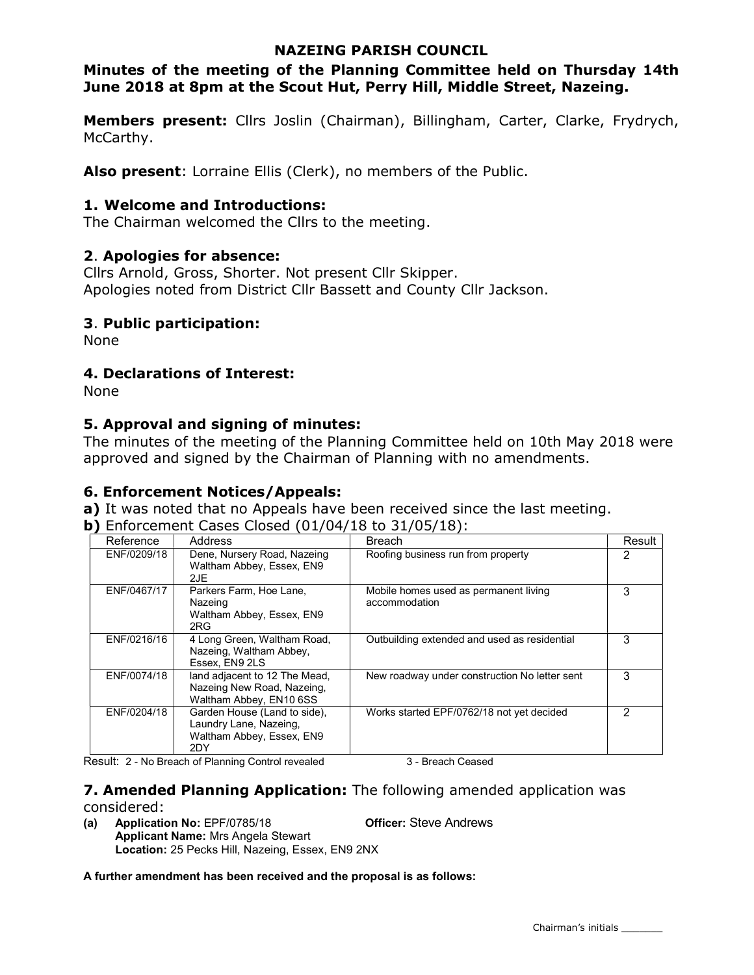## NAZEING PARISH COUNCIL

# Minutes of the meeting of the Planning Committee held on Thursday 14th June 2018 at 8pm at the Scout Hut, Perry Hill, Middle Street, Nazeing.

Members present: Cllrs Joslin (Chairman), Billingham, Carter, Clarke, Frydrych, McCarthy.

Also present: Lorraine Ellis (Clerk), no members of the Public.

## 1. Welcome and Introductions:

The Chairman welcomed the Cllrs to the meeting.

## 2. Apologies for absence:

Cllrs Arnold, Gross, Shorter. Not present Cllr Skipper. Apologies noted from District Cllr Bassett and County Cllr Jackson.

## 3. Public participation:

None

## 4. Declarations of Interest:

None

## 5. Approval and signing of minutes:

The minutes of the meeting of the Planning Committee held on 10th May 2018 were approved and signed by the Chairman of Planning with no amendments.

## 6. Enforcement Notices/Appeals:

a) It was noted that no Appeals have been received since the last meeting.

b) Enforcement Cases Closed (01/04/18 to 31/05/18):

| Reference   | Address                                                                                    | <b>Breach</b>                                          | Result |
|-------------|--------------------------------------------------------------------------------------------|--------------------------------------------------------|--------|
| ENF/0209/18 | Dene, Nursery Road, Nazeing<br>Waltham Abbey, Essex, EN9<br>2JE                            | Roofing business run from property                     | 2      |
| ENF/0467/17 | Parkers Farm, Hoe Lane,<br>Nazeing<br>Waltham Abbey, Essex, EN9<br>2RG                     | Mobile homes used as permanent living<br>accommodation | 3      |
| ENF/0216/16 | 4 Long Green, Waltham Road,<br>Nazeing, Waltham Abbey,<br>Essex. EN9 2LS                   | Outbuilding extended and used as residential           | 3      |
| ENF/0074/18 | land adjacent to 12 The Mead,<br>Nazeing New Road, Nazeing,<br>Waltham Abbey, EN10 6SS     | New roadway under construction No letter sent          | 3      |
| ENF/0204/18 | Garden House (Land to side),<br>Laundry Lane, Nazeing,<br>Waltham Abbey, Essex, EN9<br>2DY | Works started EPF/0762/18 not yet decided              | 2      |

Result: 2 - No Breach of Planning Control revealed 3 - Breach Ceased

## **7. Amended Planning Application:** The following amended application was considered:

(a) Application No: EPF/0785/18 Officer: Steve Andrews Applicant Name: Mrs Angela Stewart Location: 25 Pecks Hill, Nazeing, Essex, EN9 2NX

A further amendment has been received and the proposal is as follows: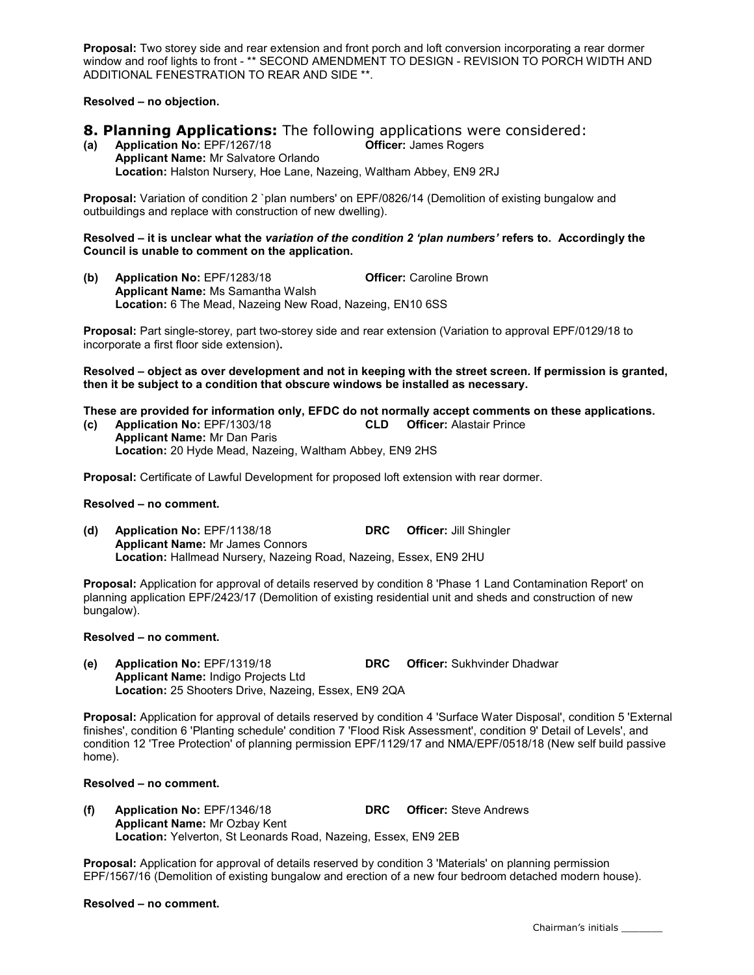Proposal: Two storey side and rear extension and front porch and loft conversion incorporating a rear dormer window and roof lights to front - \*\* SECOND AMENDMENT TO DESIGN - REVISION TO PORCH WIDTH AND ADDITIONAL FENESTRATION TO REAR AND SIDE \*\*.

Resolved – no objection.

# **8. Planning Applications:** The following applications were considered:<br>(a) Application No: EPF/1267/18 **CHICE** Officer: James Rogers

Application No: EPF/1267/18 Applicant Name: Mr Salvatore Orlando Location: Halston Nursery, Hoe Lane, Nazeing, Waltham Abbey, EN9 2RJ

Proposal: Variation of condition 2 `plan numbers' on EPF/0826/14 (Demolition of existing bungalow and outbuildings and replace with construction of new dwelling).

#### Resolved – it is unclear what the variation of the condition 2 'plan numbers' refers to. Accordingly the Council is unable to comment on the application.

(b) Application No: EPF/1283/18 Officer: Caroline Brown Applicant Name: Ms Samantha Walsh Location: 6 The Mead, Nazeing New Road, Nazeing, EN10 6SS

Proposal: Part single-storey, part two-storey side and rear extension (Variation to approval EPF/0129/18 to incorporate a first floor side extension).

Resolved – object as over development and not in keeping with the street screen. If permission is granted, then it be subject to a condition that obscure windows be installed as necessary.

These are provided for information only, EFDC do not normally accept comments on these applications. (c) Application No: EPF/1303/18 CLD Officer: Alastair Prince

Applicant Name: Mr Dan Paris Location: 20 Hyde Mead, Nazeing, Waltham Abbey, EN9 2HS

Proposal: Certificate of Lawful Development for proposed loft extension with rear dormer.

#### Resolved – no comment.

(d) Application No: EPF/1138/18 DRC Officer: Jill Shingler Applicant Name: Mr James Connors Location: Hallmead Nursery, Nazeing Road, Nazeing, Essex, EN9 2HU

Proposal: Application for approval of details reserved by condition 8 'Phase 1 Land Contamination Report' on planning application EPF/2423/17 (Demolition of existing residential unit and sheds and construction of new bungalow).

#### Resolved – no comment.

(e) Application No: EPF/1319/18 DRC Officer: Sukhvinder Dhadwar Applicant Name: Indigo Projects Ltd Location: 25 Shooters Drive, Nazeing, Essex, EN9 2QA

Proposal: Application for approval of details reserved by condition 4 'Surface Water Disposal', condition 5 'External finishes', condition 6 'Planting schedule' condition 7 'Flood Risk Assessment', condition 9' Detail of Levels', and condition 12 'Tree Protection' of planning permission EPF/1129/17 and NMA/EPF/0518/18 (New self build passive home).

#### Resolved – no comment.

(f) Application No: EPF/1346/18 DRC Officer: Steve Andrews Applicant Name: Mr Ozbay Kent Location: Yelverton, St Leonards Road, Nazeing, Essex, EN9 2EB

Proposal: Application for approval of details reserved by condition 3 'Materials' on planning permission EPF/1567/16 (Demolition of existing bungalow and erection of a new four bedroom detached modern house).

#### Resolved – no comment.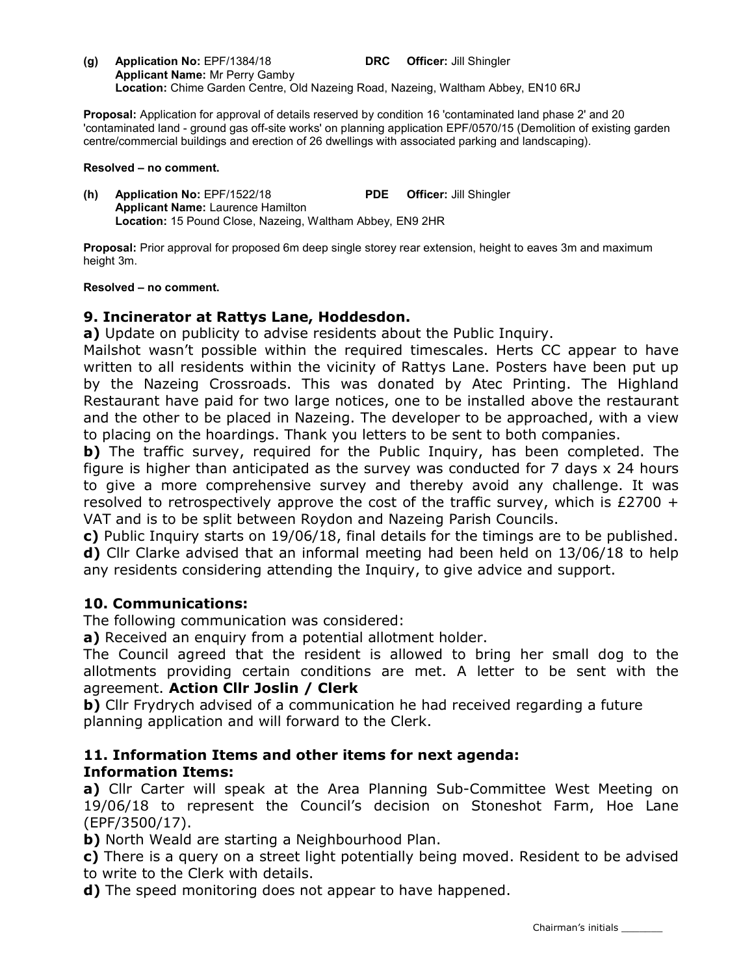(g) Application No: EPF/1384/18 DRC Officer: Jill Shingler Applicant Name: Mr Perry Gamby Location: Chime Garden Centre, Old Nazeing Road, Nazeing, Waltham Abbey, EN10 6RJ

Proposal: Application for approval of details reserved by condition 16 'contaminated land phase 2' and 20 'contaminated land - ground gas off-site works' on planning application EPF/0570/15 (Demolition of existing garden centre/commercial buildings and erection of 26 dwellings with associated parking and landscaping).

### Resolved – no comment.

(h) Application No: EPF/1522/18 PDE Officer: Jill Shingler Applicant Name: Laurence Hamilton Location: 15 Pound Close, Nazeing, Waltham Abbey, EN9 2HR

Proposal: Prior approval for proposed 6m deep single storey rear extension, height to eaves 3m and maximum height 3m.

## Resolved – no comment.

## 9. Incinerator at Rattys Lane, Hoddesdon.

a) Update on publicity to advise residents about the Public Inquiry.

Mailshot wasn't possible within the required timescales. Herts CC appear to have written to all residents within the vicinity of Rattys Lane. Posters have been put up by the Nazeing Crossroads. This was donated by Atec Printing. The Highland Restaurant have paid for two large notices, one to be installed above the restaurant and the other to be placed in Nazeing. The developer to be approached, with a view to placing on the hoardings. Thank you letters to be sent to both companies.

b) The traffic survey, required for the Public Inquiry, has been completed. The figure is higher than anticipated as the survey was conducted for 7 days x 24 hours to give a more comprehensive survey and thereby avoid any challenge. It was resolved to retrospectively approve the cost of the traffic survey, which is £2700  $+$ VAT and is to be split between Roydon and Nazeing Parish Councils.

c) Public Inquiry starts on 19/06/18, final details for the timings are to be published. d) Cllr Clarke advised that an informal meeting had been held on 13/06/18 to help any residents considering attending the Inquiry, to give advice and support.

## 10. Communications:

The following communication was considered:

a) Received an enquiry from a potential allotment holder.

The Council agreed that the resident is allowed to bring her small dog to the allotments providing certain conditions are met. A letter to be sent with the agreement. Action Cllr Joslin / Clerk

b) Cllr Frydrych advised of a communication he had received regarding a future planning application and will forward to the Clerk.

## 11. Information Items and other items for next agenda: Information Items:

a) Cllr Carter will speak at the Area Planning Sub-Committee West Meeting on 19/06/18 to represent the Council's decision on Stoneshot Farm, Hoe Lane (EPF/3500/17).

b) North Weald are starting a Neighbourhood Plan.

c) There is a query on a street light potentially being moved. Resident to be advised to write to the Clerk with details.

d) The speed monitoring does not appear to have happened.